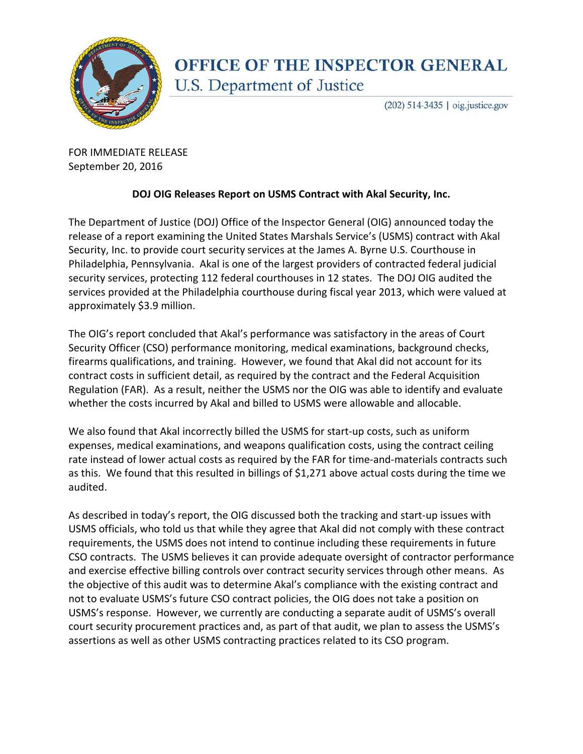

## **OFFICE OF THE INSPECTOR GENERAL** U.S. Department of Justice

(202) 514-3435 | oig.justice.gov

FOR IMMEDIATE RELEASE September 20, 2016

## **DOJ OIG Releases Report on USMS Contract with Akal Security, Inc.**

The Department of Justice (DOJ) Office of the Inspector General (OIG) announced today the release of a report examining the United States Marshals Service's (USMS) contract with Akal Security, Inc. to provide court security services at the James A. Byrne U.S. Courthouse in Philadelphia, Pennsylvania. Akal is one of the largest providers of contracted federal judicial security services, protecting 112 federal courthouses in 12 states. The DOJ OIG audited the services provided at the Philadelphia courthouse during fiscal year 2013, which were valued at approximately \$3.9 million.

The OIG's report concluded that Akal's performance was satisfactory in the areas of Court Security Officer (CSO) performance monitoring, medical examinations, background checks, firearms qualifications, and training. However, we found that Akal did not account for its contract costs in sufficient detail, as required by the contract and the Federal Acquisition Regulation (FAR). As a result, neither the USMS nor the OIG was able to identify and evaluate whether the costs incurred by Akal and billed to USMS were allowable and allocable.

We also found that Akal incorrectly billed the USMS for start-up costs, such as uniform expenses, medical examinations, and weapons qualification costs, using the contract ceiling rate instead of lower actual costs as required by the FAR for time-and-materials contracts such as this. We found that this resulted in billings of \$1,271 above actual costs during the time we audited.

As described in today's report, the OIG discussed both the tracking and start-up issues with USMS officials, who told us that while they agree that Akal did not comply with these contract requirements, the USMS does not intend to continue including these requirements in future CSO contracts. The USMS believes it can provide adequate oversight of contractor performance and exercise effective billing controls over contract security services through other means. As the objective of this audit was to determine Akal's compliance with the existing contract and not to evaluate USMS's future CSO contract policies, the OIG does not take a position on USMS's response. However, we currently are conducting a separate audit of USMS's overall court security procurement practices and, as part of that audit, we plan to assess the USMS's assertions as well as other USMS contracting practices related to its CSO program.